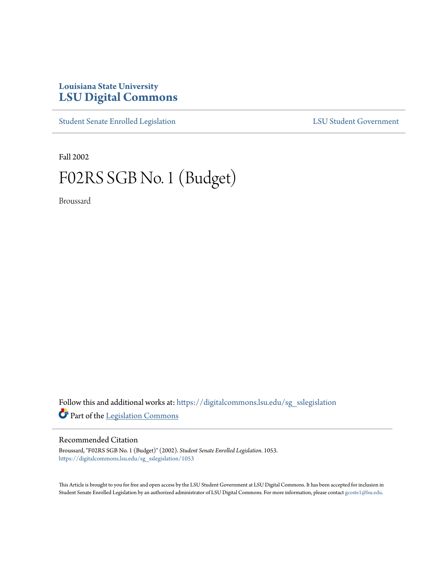## **Louisiana State University [LSU Digital Commons](https://digitalcommons.lsu.edu?utm_source=digitalcommons.lsu.edu%2Fsg_sslegislation%2F1053&utm_medium=PDF&utm_campaign=PDFCoverPages)**

[Student Senate Enrolled Legislation](https://digitalcommons.lsu.edu/sg_sslegislation?utm_source=digitalcommons.lsu.edu%2Fsg_sslegislation%2F1053&utm_medium=PDF&utm_campaign=PDFCoverPages) [LSU Student Government](https://digitalcommons.lsu.edu/sg?utm_source=digitalcommons.lsu.edu%2Fsg_sslegislation%2F1053&utm_medium=PDF&utm_campaign=PDFCoverPages)

Fall 2002

# F02RS SGB No. 1 (Budget)

Broussard

Follow this and additional works at: [https://digitalcommons.lsu.edu/sg\\_sslegislation](https://digitalcommons.lsu.edu/sg_sslegislation?utm_source=digitalcommons.lsu.edu%2Fsg_sslegislation%2F1053&utm_medium=PDF&utm_campaign=PDFCoverPages) Part of the [Legislation Commons](http://network.bepress.com/hgg/discipline/859?utm_source=digitalcommons.lsu.edu%2Fsg_sslegislation%2F1053&utm_medium=PDF&utm_campaign=PDFCoverPages)

## Recommended Citation

Broussard, "F02RS SGB No. 1 (Budget)" (2002). *Student Senate Enrolled Legislation*. 1053. [https://digitalcommons.lsu.edu/sg\\_sslegislation/1053](https://digitalcommons.lsu.edu/sg_sslegislation/1053?utm_source=digitalcommons.lsu.edu%2Fsg_sslegislation%2F1053&utm_medium=PDF&utm_campaign=PDFCoverPages)

This Article is brought to you for free and open access by the LSU Student Government at LSU Digital Commons. It has been accepted for inclusion in Student Senate Enrolled Legislation by an authorized administrator of LSU Digital Commons. For more information, please contact [gcoste1@lsu.edu.](mailto:gcoste1@lsu.edu)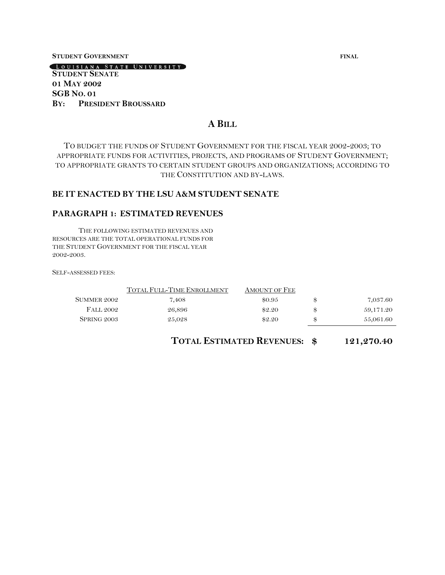#### **STUDENT GOVERNMENT FINAL**

LOUISIANA STATE UNIVERSITY

### **STUDENT SENATE 01 MAY 2002 SGB NO. 01 BY: PRESIDENT BROUSSARD**

## **A BILL**

TO BUDGET THE FUNDS OF STUDENT GOVERNMENT FOR THE FISCAL YEAR 2002-2003; TO APPROPRIATE FUNDS FOR ACTIVITIES, PROJECTS, AND PROGRAMS OF STUDENT GOVERNMENT; TO APPROPRIATE GRANTS TO CERTAIN STUDENT GROUPS AND ORGANIZATIONS; ACCORDING TO THE CONSTITUTION AND BY-LAWS.

#### **BE IT ENACTED BY THE LSU A&M STUDENT SENATE**

#### **PARAGRAPH 1: ESTIMATED REVENUES**

THE FOLLOWING ESTIMATED REVENUES AND RESOURCES ARE THE TOTAL OPERATIONAL FUNDS FOR THE STUDENT GOVERNMENT FOR THE FISCAL YEAR 2002-2003.

SELF-ASSESSED FEES:

|                  | TOTAL FULL-TIME ENROLLMENT | AMOUNT OF FEE |                 |
|------------------|----------------------------|---------------|-----------------|
| SUMMER 2002      | 7.408                      | \$0.95        | \$<br>7,037.60  |
| <b>FALL 2002</b> | 26,896                     | \$2.20        | \$<br>59,171.20 |
| SPRING 2003      | 25,028                     | \$2.20        | \$<br>55,061.60 |

**TOTAL ESTIMATED REVENUES: \$ 121,270.40**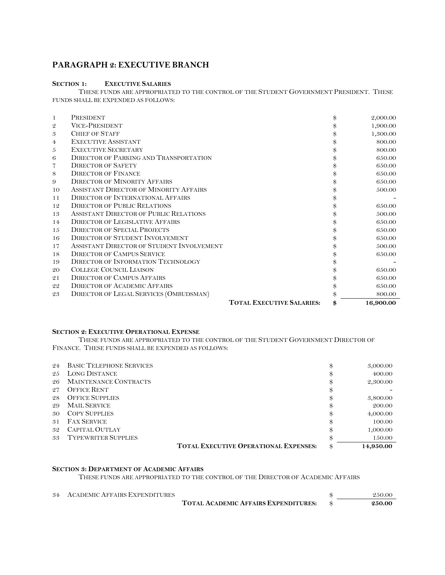## **PARAGRAPH 2: EXECUTIVE BRANCH**

## **SECTION 1: EXECUTIVE SALARIES**

THESE FUNDS ARE APPROPRIATED TO THE CONTROL OF THE STUDENT GOVERNMENT PRESIDENT. THESE FUNDS SHALL BE EXPENDED AS FOLLOWS:

| -1             | PRESIDENT                                     |                                  | \$<br>2,000.00 |
|----------------|-----------------------------------------------|----------------------------------|----------------|
| $\mathfrak{D}$ | <b>VICE-PRESIDENT</b>                         |                                  | 1,900.00       |
| 3              | <b>CHIEF OF STAFF</b>                         |                                  | 1,300.00       |
| 4              | <b>EXECUTIVE ASSISTANT</b>                    |                                  | 800.00         |
| 5              | <b>EXECUTIVE SECRETARY</b>                    |                                  | 800.00         |
| 6              | <b>DIRECTOR OF PARKING AND TRANSPORTATION</b> |                                  | 650.00         |
| 7              | <b>DIRECTOR OF SAFETY</b>                     |                                  | 650.00         |
| 8              | <b>DIRECTOR OF FINANCE</b>                    |                                  | 650.00         |
| 9              | <b>DIRECTOR OF MINORITY AFFAIRS</b>           |                                  | 650.00         |
| 10             | ASSISTANT DIRECTOR OF MINORITY AFFAIRS        |                                  | 500.00         |
| 11             | <b>DIRECTOR OF INTERNATIONAL AFFAIRS</b>      |                                  |                |
| 12             | <b>DIRECTOR OF PUBLIC RELATIONS</b>           |                                  | 650.00         |
| 13             | ASSISTANT DIRECTOR OF PUBLIC RELATIONS        |                                  | 500.00         |
| 14             | <b>DIRECTOR OF LEGISLATIVE AFFAIRS</b>        |                                  | 650.00         |
| 15             | <b>DIRECTOR OF SPECIAL PROJECTS</b>           |                                  | 650.00         |
| 16             | <b>DIRECTOR OF STUDENT INVOLVEMENT</b>        |                                  | 650.00         |
| 17             | ASSISTANT DIRECTOR OF STUDENT INVOLVEMENT     |                                  | 500.00         |
| 18             | <b>DIRECTOR OF CAMPUS SERVICE</b>             |                                  | 650.00         |
| 19             | DIRECTOR OF INFORMATION TECHNOLOGY            |                                  |                |
| 20             | <b>COLLEGE COUNCIL LIAISON</b>                |                                  | 650.00         |
| 21             | <b>DIRECTOR OF CAMPUS AFFAIRS</b>             |                                  | 650.00         |
| 22             | <b>DIRECTOR OF ACADEMIC AFFAIRS</b>           |                                  | 650.00         |
| 23             | DIRECTOR OF LEGAL SERVICES (OMBUDSMAN)        |                                  | 800.00         |
|                |                                               | <b>TOTAL EXECUTIVE SALARIES:</b> | 16,900.00      |

#### **SECTION 2: EXECUTIVE OPERATIONAL EXPENSE**

THESE FUNDS ARE APPROPRIATED TO THE CONTROL OF THE STUDENT GOVERNMENT DIRECTOR OF FINANCE. THESE FUNDS SHALL BE EXPENDED AS FOLLOWS:

| 24 | <b>BASIC TELEPHONE SERVICES</b>              | \$ | 3,000.00  |
|----|----------------------------------------------|----|-----------|
| 25 | <b>LONG DISTANCE</b>                         | \$ | 400.00    |
| 26 | <b>MAINTENANCE CONTRACTS</b>                 | \$ | 2,300.00  |
| 27 | <b>OFFICE RENT</b>                           | \$ |           |
| 28 | <b>OFFICE SUPPLIES</b>                       | \$ | 3,800.00  |
| 29 | <b>MAIL SERVICE</b>                          | \$ | 200.00    |
| 30 | <b>COPY SUPPLIES</b>                         | \$ | 4,000.00  |
| 31 | <b>FAX SERVICE</b>                           | \$ | 100.00    |
| 32 | CAPITAL OUTLAY                               | \$ | 1,000.00  |
| 33 | <b>TYPEWRITER SUPPLIES</b>                   | Я, | 150.00    |
|    | <b>TOTAL EXECUTIVE OPERATIONAL EXPENSES:</b> | \$ | 14,950.00 |

#### **SECTION 3: DEPARTMENT OF ACADEMIC AFFAIRS**

THESE FUNDS ARE APPROPRIATED TO THE CONTROL OF THE DIRECTOR OF ACADEMIC AFFAIRS

| 34 ACADEMIC AFFAIRS EXPENDITURES |                                             | 2.50.00 |
|----------------------------------|---------------------------------------------|---------|
|                                  | <b>TOTAL ACADEMIC AFFAIRS EXPENDITURES:</b> | 250.00  |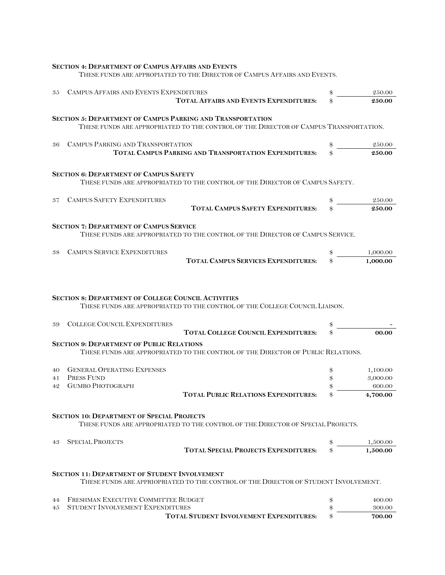|    | SECTION 4: DEPARTMENT OF CAMPUS AFFAIRS AND EVENTS<br>THESE FUNDS ARE APPROPIATED TO THE DIRECTOR OF CAMPUS AFFAIRS AND EVENTS.                            |                    |
|----|------------------------------------------------------------------------------------------------------------------------------------------------------------|--------------------|
| 35 | CAMPUS AFFAIRS AND EVENTS EXPENDITURES                                                                                                                     | \$<br>250.00       |
|    | <b>TOTAL AFFAIRS AND EVENTS EXPENDITURES:</b>                                                                                                              | 250.00             |
|    | <b>SECTION 5: DEPARTMENT OF CAMPUS PARKING AND TRANSPORTATION</b><br>THESE FUNDS ARE APPROPRIATED TO THE CONTROL OF THE DIRECTOR OF CAMPUS TRANSPORTATION. |                    |
| 36 | CAMPUS PARKING AND TRANSPORTATION<br>TOTAL CAMPUS PARKING AND TRANSPORTATION EXPENDITURES:                                                                 | 250.00<br>250.00   |
|    |                                                                                                                                                            |                    |
|    | <b>SECTION 6: DEPARTMENT OF CAMPUS SAFETY</b><br>THESE FUNDS ARE APPROPRIATED TO THE CONTROL OF THE DIRECTOR OF CAMPUS SAFETY.                             |                    |
| 37 | <b>CAMPUS SAFETY EXPENDITURES</b>                                                                                                                          | \$<br>250.00       |
|    | <b>TOTAL CAMPUS SAFETY EXPENDITURES:</b>                                                                                                                   | 250.00             |
|    | <b>SECTION 7: DEPARTMENT OF CAMPUS SERVICE</b><br>THESE FUNDS ARE APPROPRIATED TO THE CONTROL OF THE DIRECTOR OF CAMPUS SERVICE.                           |                    |
| 38 | <b>CAMPUS SERVICE EXPENDITURES</b>                                                                                                                         | 1,000.00           |
|    | <b>TOTAL CAMPUS SERVICES EXPENDITURES:</b>                                                                                                                 | 1,000.00           |
|    | <b>SECTION 8: DEPARTMENT OF COLLEGE COUNCIL ACTIVITIES</b><br>THESE FUNDS ARE APPROPRIATED TO THE CONTROL OF THE COLLEGE COUNCIL LIAISON.                  |                    |
| 39 | <b>COLLEGE COUNCIL EXPENDITURES</b><br><b>TOTAL COLLEGE COUNCIL EXPENDITURES:</b>                                                                          | 00.00              |
|    | <b>SECTION 9: DEPARTMENT OF PUBLIC RELATIONS</b><br>THESE FUNDS ARE APPROPRIATED TO THE CONTROL OF THE DIRECTOR OF PUBLIC RELATIONS.                       |                    |
| 40 | <b>GENERAL OPERATING EXPENSES</b>                                                                                                                          | 1,100.00           |
| 41 | PRESS FUND                                                                                                                                                 | 3,000.00           |
| 42 | <b>GUMBO PHOTOGRAPH</b><br><b>TOTAL PUBLIC RELATIONS EXPENDITURES:</b>                                                                                     | 600.00<br>4,700.00 |
|    | <b>SECTION 10: DEPARTMENT OF SPECIAL PROJECTS</b><br>THESE FUNDS ARE APPROPRIATED TO THE CONTROL OF THE DIRECTOR OF SPECIAL PROJECTS.                      |                    |
| 43 | <b>SPECIAL PROJECTS</b>                                                                                                                                    | 1,500.00           |
|    | <b>TOTAL SPECIAL PROJECTS EXPENDITURES:</b>                                                                                                                | 1,500.00           |
|    | <b>SECTION 11: DEPARTMENT OF STUDENT INVOLVEMENT</b><br>THESE FUNDS ARE APPRIOPRIATED TO THE CONTROL OF THE DIRECTOR OF STUDENT INVOLVEMENT.               |                    |
| 44 | FRESHMAN EXECUTIVE COMMITTEE BUDGET                                                                                                                        | \$<br>400.00       |
| 45 | STUDENT INVOLVEMENT EXPENDITURES                                                                                                                           | \$<br>300.00       |
|    | <b>TOTAL STUDENT INVOLVEMENT EXPENDITURES:</b>                                                                                                             | 700.00             |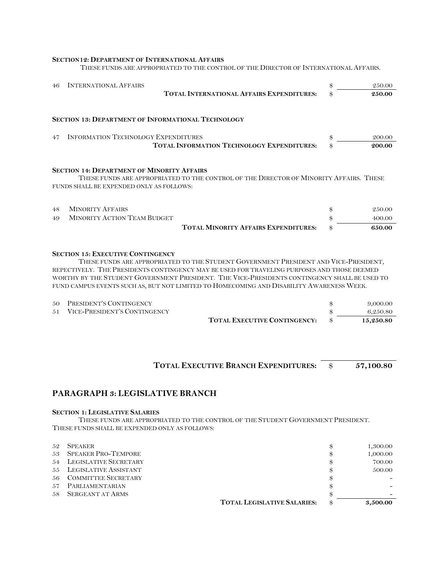#### **SECTION12: DEPARTMENT OF INTERNATIONAL AFFAIRS**

THESE FUNDS ARE APPROPRIATED TO THE CONTROL OF THE DIRECTOR OF INTERNATIONAL AFFAIRS.

| 46 | <b>INTERNATIONAL AFFAIRS</b>                                                                  |                                                                                                                                                                                                                                                                                                                                                                                 | \$<br>250.00           |
|----|-----------------------------------------------------------------------------------------------|---------------------------------------------------------------------------------------------------------------------------------------------------------------------------------------------------------------------------------------------------------------------------------------------------------------------------------------------------------------------------------|------------------------|
|    |                                                                                               | <b>TOTAL INTERNATIONAL AFFAIRS EXPENDITURES:</b>                                                                                                                                                                                                                                                                                                                                | 250.00                 |
|    | <b>SECTION 13: DEPARTMENT OF INFORMATIONAL TECHNOLOGY</b>                                     |                                                                                                                                                                                                                                                                                                                                                                                 |                        |
| 47 | <b>INFORMATION TECHNOLOGY EXPENDITURES</b>                                                    | <b>TOTAL INFORMATION TECHNOLOGY EXPENDITURES:</b>                                                                                                                                                                                                                                                                                                                               | \$<br>200.00<br>200.00 |
|    | <b>SECTION 14: DEPARTMENT OF MINORITY AFFAIRS</b><br>FUNDS SHALL BE EXPENDED ONLY AS FOLLOWS: | THESE FUNDS ARE APPROPRIATED TO THE CONTROL OF THE DIRECTOR OF MINORITY AFFAIRS. THESE                                                                                                                                                                                                                                                                                          |                        |
| 48 | <b>MINORITY AFFAIRS</b>                                                                       |                                                                                                                                                                                                                                                                                                                                                                                 | \$<br>250.00           |
| 49 | <b>MINORITY ACTION TEAM BUDGET</b>                                                            |                                                                                                                                                                                                                                                                                                                                                                                 | \$<br>400.00           |
|    |                                                                                               | <b>TOTAL MINORITY AFFAIRS EXPENDITURES:</b>                                                                                                                                                                                                                                                                                                                                     | \$<br>650.00           |
|    | <b>SECTION 15: EXECUTIVE CONTINGENCY</b>                                                      | THESE FUNDS ARE APPROPRIATED TO THE STUDENT GOVERNMENT PRESIDENT AND VICE-PRESIDENT.<br>REPECTIVELY. THE PRESIDENTS CONTINGENCY MAY BE USED FOR TRAVELING PURPOSES AND THOSE DEEMED<br>WORTHY BY THE STUDENT GOVERNMENT PRESIDENT. THE VICE-PRESIDENTS CONTINGENCY SHALL BE USED TO<br>FUND CAMPUS EVENTS SUCH AS, BUT NOT LIMITED TO HOMECOMING AND DISABILITY AWARENESS WEEK. |                        |
| 50 | PRESIDENT'S CONTINGENCY                                                                       |                                                                                                                                                                                                                                                                                                                                                                                 | 9,000.00               |
|    | 51 VICE PERSIDENT'S CONTINGENCY                                                               |                                                                                                                                                                                                                                                                                                                                                                                 | G Q KA QA              |

| 51 VICE-PRESIDENT'S CONTINGENCY |                                     | 6.250.80  |
|---------------------------------|-------------------------------------|-----------|
|                                 | <b>TOTAL EXECUTIVE CONTINGENCY:</b> | 15,250.80 |

## **TOTAL EXECUTIVE BRANCH EXPENDITURES:** \$ **57,100.80**

## **PARAGRAPH 3: LEGISLATIVE BRANCH**

#### **SECTION 1: LEGISLATIVE SALARIES**

THESE FUNDS ARE APPROPRIATED TO THE CONTROL OF THE STUDENT GOVERNMENT PRESIDENT. THESE FUNDS SHALL BE EXPENDED ONLY AS FOLLOWS:

| 52  | <b>SPEAKER</b>             |                                    | 1,300.00       |
|-----|----------------------------|------------------------------------|----------------|
| 53  | <b>SPEAKER PRO-TEMPORE</b> |                                    | \$<br>1,000.00 |
| 54  | LEGISLATIVE SECRETARY      |                                    | 700.00         |
| 55  | LEGISLATIVE ASSISTANT      |                                    | 500.00         |
| 56  | <b>COMMITTEE SECRETARY</b> |                                    | \$             |
| .57 | PARLIAMENTARIAN            |                                    |                |
| 58  | <b>SERGEANT AT ARMS</b>    |                                    |                |
|     |                            | <b>TOTAL LEGISLATIVE SALARIES:</b> | 3.500.00       |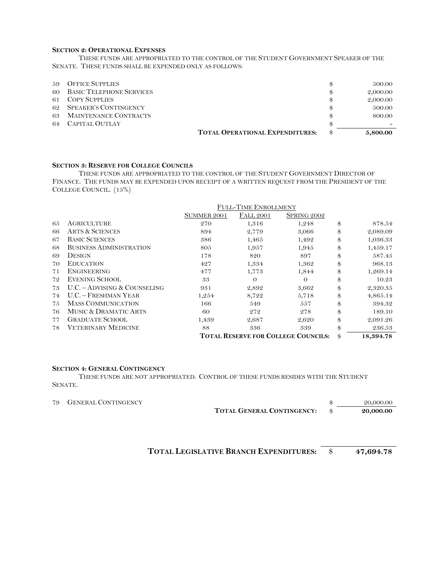#### **SECTION 2: OPERATIONAL EXPENSES**

THESE FUNDS ARE APPROPRIATED TO THE CONTROL OF THE STUDENT GOVERNMENT SPEAKER OF THE SENATE. THESE FUNDS SHALL BE EXPENDED ONLY AS FOLLOWS:

| 59 | <b>OFFICE SUPPLIES</b>          |                                        | 500.00   |
|----|---------------------------------|----------------------------------------|----------|
| 60 | <b>BASIC TELEPHONE SERVICES</b> |                                        | 2,000.00 |
| 61 | <b>COPY SUPPLIES</b>            |                                        | 2,000.00 |
| 62 | SPEAKER'S CONTINGENCY           |                                        | 500.00   |
| 63 | <b>MAINTENANCE CONTRACTS</b>    |                                        | 800.00   |
| 64 | CAPITAL OUTLAY                  |                                        |          |
|    |                                 | <b>TOTAL OPERATIONAL EXPENDITURES:</b> | 5,800.00 |

#### **SECTION 3: RESERVE FOR COLLEGE COUNCILS**

THESE FUNDS ARE APPROPRIATED TO THE CONTROL OF THE STUDENT GOVERNMENT DIRECTOR OF FINANCE. THE FUNDS MAY BE EXPENDED UPON RECEIPT OF A WRITTEN REQUEST FROM THE PRESIDENT OF THE COLLEGE COUNCIL. (15%)

|    |                                  | <b>FULL-TIME ENROLLMENT</b> |                  |                                            |                 |
|----|----------------------------------|-----------------------------|------------------|--------------------------------------------|-----------------|
|    |                                  | <b>SUMMER 2001</b>          | <b>FALL 2001</b> | SPRING 2002                                |                 |
| 65 | AGRICULTURE                      | 270                         | 1,316            | 1,248                                      | \$<br>878.54    |
| 66 | <b>ARTS &amp; SCIENCES</b>       | 894                         | 2,779            | 3,066                                      | \$<br>2,089.09  |
| 67 | <b>BASIC SCIENCES</b>            | 386                         | 1,465            | 1,492                                      | \$<br>1,036.33  |
| 68 | <b>BUSINESS ADMINISTRATION</b>   | 805                         | 1,957            | 1,945                                      | \$<br>1,459.17  |
| 69 | <b>DESIGN</b>                    | 178                         | 820              | 897                                        | \$<br>587.45    |
| 70 | <b>EDUCATION</b>                 | 427                         | 1,334            | 1,362                                      | \$<br>968.13    |
| 71 | <b>ENGINEERING</b>               | 477                         | 1,773            | 1,844                                      | \$<br>1,269.14  |
| 72 | <b>EVENING SCHOOL</b>            | 33                          | $\Omega$         | $\Omega$                                   | \$<br>10.23     |
| 73 | U.C. - ADVISING & COUNSELING     | 931                         | 2,892            | 3,662                                      | \$<br>2,320.35  |
| 74 | <b>U.C. - FRESHMAN YEAR</b>      | 1,254                       | 8,722            | 5,718                                      | \$<br>4,865.14  |
| 75 | <b>MASS COMMUNICATION</b>        | 166                         | 549              | 557                                        | \$<br>394.32    |
| 76 | <b>MUSIC &amp; DRAMATIC ARTS</b> | 60                          | 272              | 278                                        | \$<br>189.10    |
| 77 | <b>GRADUATE SCHOOL</b>           | 1,439                       | 2,687            | 2,620                                      | \$<br>2,091.26  |
| 78 | <b>VETERINARY MEDICINE</b>       | 88                          | 336              | 339                                        | \$<br>236.53    |
|    |                                  |                             |                  | <b>TOTAL RESERVE FOR COLLEGE COUNCILS:</b> | \$<br>18,394.78 |

#### **SECTION 4: GENERAL CONTINGENCY**

THESE FUNDS ARE NOT APPROPRIATED. CONTROL OF THESE FUNDS RESIDES WITH THE STUDENT SENATE.

| 79 GENERAL CONTINGENCY |                                   | 20,000.00 |
|------------------------|-----------------------------------|-----------|
|                        | <b>TOTAL GENERAL CONTINGENCY:</b> | 20,000.00 |

**TOTAL LEGISLATIVE BRANCH EXPENDITURES:** \$ **47,694.78**